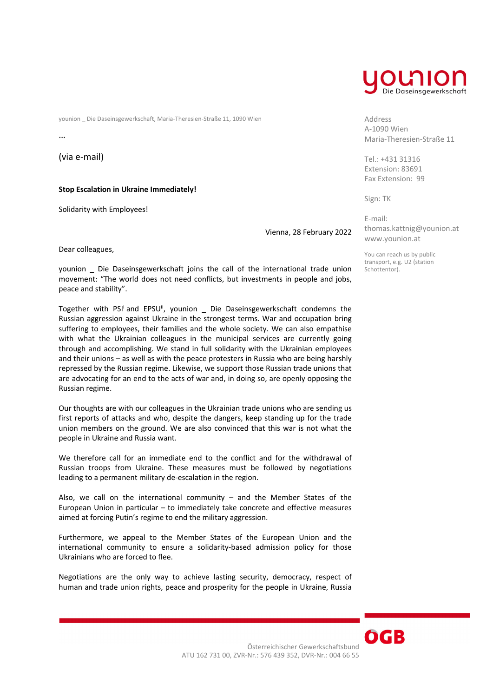younion \_ Die Daseinsgewerkschaft, Maria‐Theresien‐Straße 11, 1090 Wien

…

(via e‐mail)

**Stop Escalation in Ukraine Immediately!** 

Solidarity with Employees!

Vienna, 28 February 2022

Dear colleagues,

younion \_ Die Daseinsgewerkschaft joins the call of the international trade union movement: "The world does not need conflicts, but investments in people and jobs, peace and stability".

Together with PSI<sup>i</sup> and EPSU<sup>ii</sup>, younion \_ Die Daseinsgewerkschaft condemns the Russian aggression against Ukraine in the strongest terms. War and occupation bring suffering to employees, their families and the whole society. We can also empathise with what the Ukrainian colleagues in the municipal services are currently going through and accomplishing. We stand in full solidarity with the Ukrainian employees and their unions – as well as with the peace protesters in Russia who are being harshly repressed by the Russian regime. Likewise, we support those Russian trade unions that are advocating for an end to the acts of war and, in doing so, are openly opposing the Russian regime.

Our thoughts are with our colleagues in the Ukrainian trade unions who are sending us first reports of attacks and who, despite the dangers, keep standing up for the trade union members on the ground. We are also convinced that this war is not what the people in Ukraine and Russia want.

We therefore call for an immediate end to the conflict and for the withdrawal of Russian troops from Ukraine. These measures must be followed by negotiations leading to a permanent military de‐escalation in the region.

Also, we call on the international community – and the Member States of the European Union in particular – to immediately take concrete and effective measures aimed at forcing Putin's regime to end the military aggression.

Furthermore, we appeal to the Member States of the European Union and the international community to ensure a solidarity‐based admission policy for those Ukrainians who are forced to flee.

Negotiations are the only way to achieve lasting security, democracy, respect of human and trade union rights, peace and prosperity for the people in Ukraine, Russia



Address A‐1090 Wien Maria‐Theresien‐Straße 11

Tel.: +431 31316 Extension: 83691 Fax Extension: 99

Sign: TK

E‐mail: thomas.kattnig@younion.at www.younion.at

You can reach us by public transport, e.g. U2 (station Schottentor).

OGB